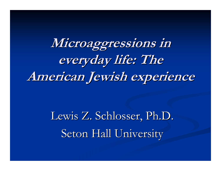**Microaggressions in Microaggressions in everyday life: The everyday life: The American Jewish experience American Jewish experience**

> Lewis Z. Schlosser, Ph.D. Seton Hall University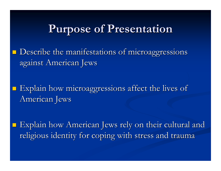#### **Purpose of Presentation Purpose of Presentation**

 $\blacksquare$  Describe the manifestations of microaggressions against American Jews

Explain how microaggressions affect the lives of American Jews

Explain how American Jews rely on their cultural and religious identity for coping with stress and trauma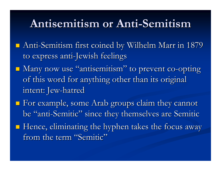#### **Antisemitism or Anti Antisemitism or Anti -Semitism Semitism**

- **Anti-Semitism first coined by Wilhelm Marr in 1879** to express anti-Jewish feelings
- **Nany now use "antisemitism"** " to prevent co-opting of this word for anything other than its original intent: Jew-hatred
- $\blacksquare$  For example, some Arab groups claim they cannot be "anti-Semitic" since they themselves are Semitic
- $\blacksquare$  Hence, eliminating the hyphen takes the focus away from the term "Semitic"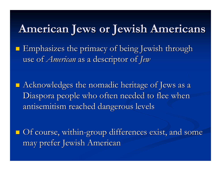### **American Jews or Jewish Americans American Jews or Jewish Americans**

 $\blacksquare$  Emphasizes the primacy of being Jewish through use of *American* as a descriptor of *Jew* 

 $\blacksquare$  Acknowledges the nomadic heritage of Jews as a Diaspora people who often needed to flee when antisemitism reached dangerous levels

**Of course, within-group differences exist, and some** may prefer Jewish American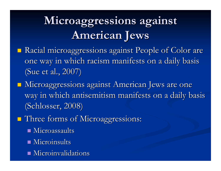## **Microaggressions against Microaggressions against American Jews American Jews**

- **Racial microaggressions against People of Color are** one way in which racism manifests on a daily basis (Sue et al., 2007)
- $\blacksquare$  Microaggressions against American Jews are one way in which antisemitism manifests on a daily basis (Schlosser, 2008) (Schlosser, 2008)
- **Three forms of Microaggressions:** 
	- $\blacksquare$  Microassaults
	- $\blacksquare$  Microinsults
	- $\blacksquare$  Microinvalidations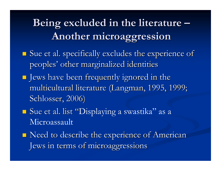### **Being excluded in the literature**  $\cdot$ **Another microaggression Another microaggression**

- **Sue et al. specifically excludes the experience of** peoples' other marginalized identities
- Jews have been frequently ignored in the Jews have been frequently ignored in the multicultural literature (Langman, 1995, 1999; multicultural literature (Langman, 1995, 1999; Schlosser, 2006)
- Sue et al. list "Displaying a swastika" as a Microassault
- $\blacksquare$  Need to describe the experience of American Jews in terms of microaggressions Jews in terms of microaggressions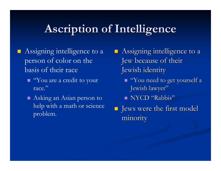### **Ascription of Intelligence Ascription of Intelligence**

- Assigning intelligence to a person of color on the basis of their race
	- "You are a credit to your race."
	- Asking an Asian person to help with a math or science problem.
- $\blacksquare$  Assigning intelligence to a Jew because of their Jewish identity
	- $\blacksquare$  "You need to get yourself a Jewish lawyer"
	- NYCD "Rabbis"
- Jews were the first model Jews were the first model minority minority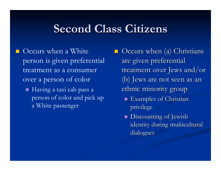#### **Second Class Citizens Second Class Citizens**

 Occurs when a White person is given preferential treatment as a consumer over a person of color

Having a taxi cab pass a person of color and pick up a White passenger

Occurs when (a) Christians are given preferential treatment over Jews and/or (b) Jews are not seen as an ethnic minority group

- $\blacksquare$  Examples of Christian privilege
- **Discounting of Jewish** identity during multicultural dialogues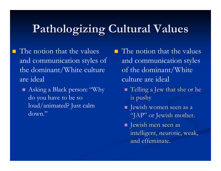### **Pathologizing Cultural Values Pathologizing Cultural Values**

- $\blacksquare$  The notion that the values and communication styles of the dominant/White culture are ideal
	- Asking a Black person: "Why do you have to be so loud/animated? Just calm down."

 $\blacksquare$  The notion that the values and communication styles of the dominant/White culture are ideal

- $\blacksquare$  Telling a Jew that she or he is pushy
- Jewish women seen as a Jewish women seen as a "JAP" or Jewish mother.
- Jewish men seen as Jewish men seen as intelligent, neurotic, weak, and effeminate.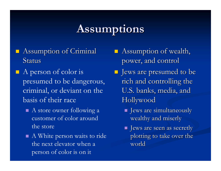### **Assumptions Assumptions**

- $\blacksquare$  Assumption of Criminal Status
- $\blacksquare$  A person of color is presumed to be dangerous, criminal, or deviant on the basis of their race
	- A store owner following a customer of color around the store
	- A White person waits to ride the next elevator when a person of color is on it
- $\blacksquare$  Assumption of wealth, power, and control
- **I** Jews are presumed to be rich and controlling the U.S. banks, media, and Hollywood Hollywood
	- Jews are simultaneously Jews are simultaneously wealthy and miserly
	- $\blacksquare$  Jews are seen as secretly plotting to take over the world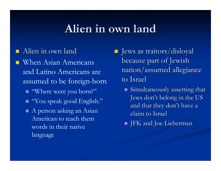#### **Alien in own land Alien in own land**

#### $\blacksquare$  Alien in own land

language

 When Asian Americans and Latino Americans are assumed to be foreign-born ■ "Where were you born?" "You speak good English."  $\blacksquare$  A person asking an Asian American to teach them words in their native

 Jews as traitors/disloyal Jews as traitors/disloyal because part of Jewish nation/assumed allegiance to Israel

- $\blacksquare$  Simultaneously asserting that Jews don't belong in the US and that they don't have a claim to Israel
- $\blacksquare$  JFK and Joe Lieberman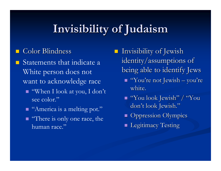### **Invisibility of Judaism Invisibility of Judaism**

#### Color Blindness

- I Statements that indicate a White person does not want to acknowledge race
	- "When I look at you, I don't see color."
	- "America is a melting pot."
	- **There is only one race, the** human race."

 $\blacksquare$ Invisibility of Jewish identity/assumptions of being able to identify Jews

- $\blacksquare$  "You're not Jewish  $\cdot$  $-$ – you're white.
- "You look Jewish" / "You don't look Jewish."
- **Oppression Olympics**
- **Legitimacy Testing**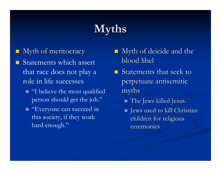### **Myths**

- Myth of meritocracy
- I Statements which assert that race does not play a role in life successes
	- **T** "I believe the most qualified person should get the job."
	- **T** "Everyone can succeed in this society, if they work hard enough."
- $\blacksquare$ Myth of deicide and the blood libel
- $\blacksquare$  Statements that seek to perpetuate antisemitic myths
	- $\blacksquare$  The Jews killed Jesus.
	- $\blacksquare$  Jews used to kill Christian children for religious ceremonies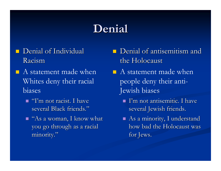### **Denial**

- $\blacksquare$  Denial of Individual Racism
- $\blacksquare$  A statement made when Whites deny their racial biases
	- $\blacksquare$  "I'm not racist. I have several Black friends."
	- $\blacksquare$  "As a woman, I know what you go through as a racial minority."
- $\blacksquare$  Denial of antisemitism and the Holocaust
- $\blacksquare$  A statement made when people deny their anti-Jewish biases
	- $\blacksquare$  I'm not antisemitic. I have several Jewish friends.
	- $\blacksquare$  As a minority, I understand how bad the Holocaust was for Jews.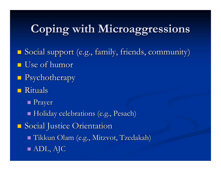## **Coping with Microaggressions Coping with Microaggressions**

- **Social support (e.g., family, friends, community)**  $\blacksquare$  Use of humor
- $\blacksquare$  Psychotherapy
- $\blacksquare$  Rituals
	- **Prayer**
	- $\blacksquare$  Holiday celebrations (e.g., Pesach)

**Social Justice Orientation**  $\blacksquare$  Tikkun Olam (e.g., Mitzvot, Tzedakah)

 $\blacksquare$  ADL, AJC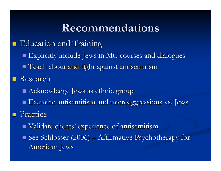#### **Recommendations Recommendations**

- **E** Education and Training Explicitly include Jews in MC courses and dialogues Explicitly include Jews in MC courses and dialogues Teach about and fight against antisemitism Teach about and fight against antisemitism **Research**  $\blacksquare$  Acknowledge Jews as ethnic group  $\blacksquare$  Examine antisemitism and microaggressions vs. Jews Practice  $\blacksquare$  Validate clients' experience of antisemitism
	- $\blacksquare$  See Schlosser (2006)  $\cdot$  $-$  Affirmative Psychotherapy for  $\overline{\phantom{a}}$ American Jews